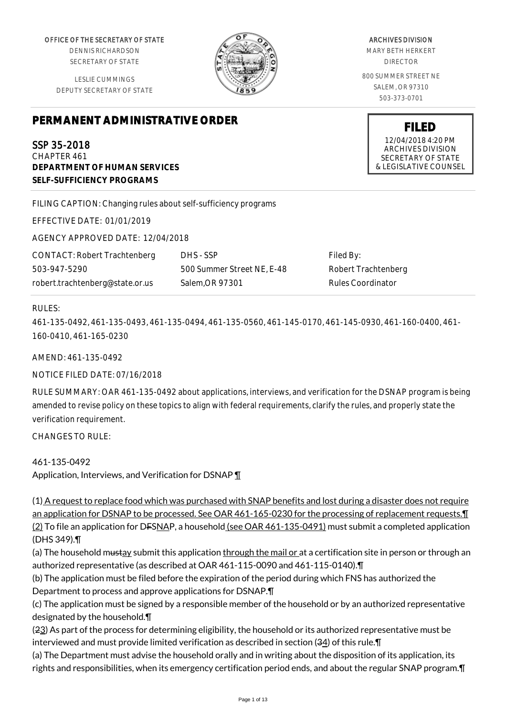OFFICE OF THE SECRETARY OF STATE

DENNIS RICHARDSON SECRETARY OF STATE

LESLIE CUMMINGS DEPUTY SECRETARY OF STATE

# **PERMANENT ADMINISTRATIVE ORDER**

SSP 35-2018 CHAPTER 461 **DEPARTMENT OF HUMAN SERVICES SELF-SUFFICIENCY PROGRAMS**

FILING CAPTION: Changing rules about self-sufficiency programs

EFFECTIVE DATE: 01/01/2019

AGENCY APPROVED DATE: 12/04/2018

CONTACT: Robert Trachtenberg 503-947-5290 robert.trachtenberg@state.or.us

DHS - SSP 500 Summer Street NE, E-48 Salem,OR 97301

Filed By: Robert Trachtenberg Rules Coordinator

#### RULES:

461-135-0492, 461-135-0493, 461-135-0494, 461-135-0560, 461-145-0170, 461-145-0930, 461-160-0400, 461- 160-0410, 461-165-0230

AMEND: 461-135-0492

NOTICE FILED DATE: 07/16/2018

RULE SUMMARY: OAR 461-135-0492 about applications, interviews, and verification for the DSNAP program is being amended to revise policy on these topics to align with federal requirements, clarify the rules, and properly state the verification requirement.

CHANGES TO RULE:

461-135-0492 Application, Interviews, and Verification for DSNAP ¶

(1) A request to replace food which was purchased with SNAP benefits and lost during a disaster does not require an application for DSNAP to be processed. See OAR 461-165-0230 for the processing of replacement requests.¶ (2) To file an application for D<del>FSNAP</del>, a household (see OAR 461-135-0491) must submit a completed application (DHS 349).¶

(a) The household mustay submit this application through the mail or at a certification site in person or through an authorized representative (as described at OAR 461-115-0090 and 461-115-0140).¶

(b) The application must be filed before the expiration of the period during which FNS has authorized the Department to process and approve applications for DSNAP.¶

(c) The application must be signed by a responsible member of the household or by an authorized representative designated by the household.¶

(23) As part of the process for determining eligibility, the household or its authorized representative must be interviewed and must provide limited verification as described in section (34) of this rule.¶

(a) The Department must advise the household orally and in writing about the disposition of its application, its rights and responsibilities, when its emergency certification period ends, and about the regular SNAP program.¶

#### ARCHIVES DIVISION

MARY BETH HERKERT DIRECTOR

800 SUMMER STREET NE SALEM, OR 97310 503-373-0701

> **FILED** 12/04/2018 4:20 PM ARCHIVES DIVISION SECRETARY OF STATE & LEGISLATIVE COUNSEL

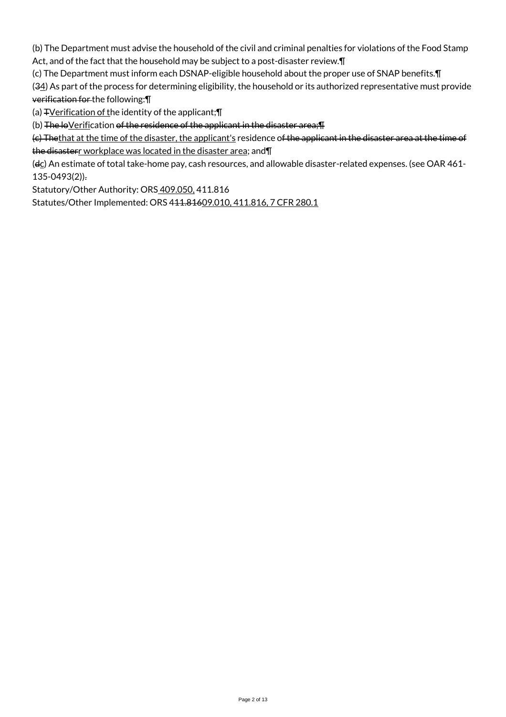(b) The Department must advise the household of the civil and criminal penalties for violations of the Food Stamp Act, and of the fact that the household may be subject to a post-disaster review. I

(c) The Department must inform each DSNAP-eligible household about the proper use of SNAP benefits.¶

(34) As part of the process for determining eligibility, the household or its authorized representative must provide verification for the following:¶

(a)  $\exists$  Yerification of the identity of the applicant; $\P$ 

(b) The loVerification of the residence of the applicant in the disaster area; [1]

(c) Thethat at the time of the disaster, the applicant's residence of the applicant in the disaster area at the time of the disasterr workplace was located in the disaster area; and \[

(dc) An estimate of total take-home pay, cash resources, and allowable disaster-related expenses. (see OAR 461-135-0493(2)).

Statutory/Other Authority: ORS 409.050, 411.816

Statutes/Other Implemented: ORS 411.81609.010, 411.816, 7 CFR 280.1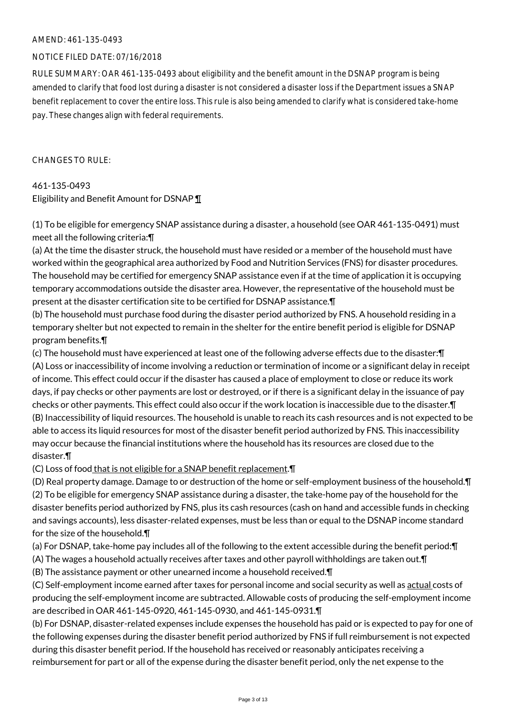#### AMEND: 461-135-0493

# NOTICE FILED DATE: 07/16/2018

RULE SUMMARY: OAR 461-135-0493 about eligibility and the benefit amount in the DSNAP program is being amended to clarify that food lost during a disaster is not considered a disaster loss if the Department issues a SNAP benefit replacement to cover the entire loss. This rule is also being amended to clarify what is considered take-home pay. These changes align with federal requirements.

CHANGES TO RULE:

# 461-135-0493 Eligibility and Benefit Amount for DSNAP ¶

(1) To be eligible for emergency SNAP assistance during a disaster, a household (see OAR 461-135-0491) must meet all the following criteria:¶

(a) At the time the disaster struck, the household must have resided or a member of the household must have worked within the geographical area authorized by Food and Nutrition Services (FNS) for disaster procedures. The household may be certified for emergency SNAP assistance even if at the time of application it is occupying temporary accommodations outside the disaster area. However, the representative of the household must be present at the disaster certification site to be certified for DSNAP assistance.¶

(b) The household must purchase food during the disaster period authorized by FNS. A household residing in a temporary shelter but not expected to remain in the shelter for the entire benefit period is eligible for DSNAP program benefits.¶

(c) The household must have experienced at least one of the following adverse effects due to the disaster:¶ (A) Loss or inaccessibility of income involving a reduction or termination of income or a significant delay in receipt of income. This effect could occur if the disaster has caused a place of employment to close or reduce its work days, if pay checks or other payments are lost or destroyed, or if there is a significant delay in the issuance of pay checks or other payments. This effect could also occur if the work location is inaccessible due to the disaster.¶ (B) Inaccessibility of liquid resources. The household is unable to reach its cash resources and is not expected to be able to access its liquid resources for most of the disaster benefit period authorized by FNS. This inaccessibility may occur because the financial institutions where the household has its resources are closed due to the disaster.¶

(C) Loss of food that is not eligible for a SNAP benefit replacement. **T** 

(D) Real property damage. Damage to or destruction of the home or self-employment business of the household.¶ (2) To be eligible for emergency SNAP assistance during a disaster, the take-home pay of the household for the disaster benefits period authorized by FNS, plus its cash resources (cash on hand and accessible funds in checking and savings accounts), less disaster-related expenses, must be less than or equal to the DSNAP income standard for the size of the household.¶

(a) For DSNAP, take-home pay includes all of the following to the extent accessible during the benefit period:¶ (A) The wages a household actually receives after taxes and other payroll withholdings are taken out.¶

(B) The assistance payment or other unearned income a household received.¶

(C) Self-employment income earned after taxes for personal income and social security as well as actual costs of producing the self-employment income are subtracted. Allowable costs of producing the self-employment income are described in OAR 461-145-0920, 461-145-0930, and 461-145-0931.¶

(b) For DSNAP, disaster-related expenses include expenses the household has paid or is expected to pay for one of the following expenses during the disaster benefit period authorized by FNS if full reimbursement is not expected during this disaster benefit period. If the household has received or reasonably anticipates receiving a reimbursement for part or all of the expense during the disaster benefit period, only the net expense to the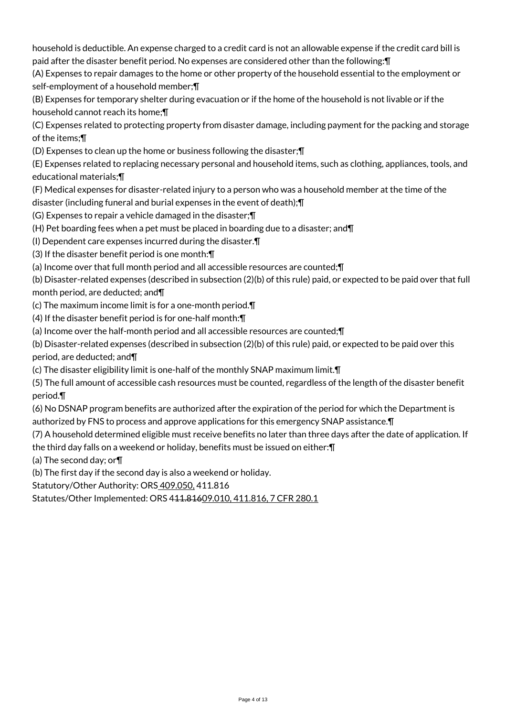household is deductible. An expense charged to a credit card is not an allowable expense if the credit card bill is paid after the disaster benefit period. No expenses are considered other than the following:¶

(A) Expenses to repair damages to the home or other property of the household essential to the employment or self-employment of a household member;¶

(B) Expenses for temporary shelter during evacuation or if the home of the household is not livable or if the household cannot reach its home;¶

(C) Expenses related to protecting property from disaster damage, including payment for the packing and storage of the items;¶

(D) Expenses to clean up the home or business following the disaster;¶

(E) Expenses related to replacing necessary personal and household items, such as clothing, appliances, tools, and educational materials;¶

(F) Medical expenses for disaster-related injury to a person who was a household member at the time of the disaster (including funeral and burial expenses in the event of death);¶

(G) Expenses to repair a vehicle damaged in the disaster;¶

(H) Pet boarding fees when a pet must be placed in boarding due to a disaster; and¶

(I) Dependent care expenses incurred during the disaster.¶

(3) If the disaster benefit period is one month:¶

(a) Income over that full month period and all accessible resources are counted;¶

(b) Disaster-related expenses (described in subsection (2)(b) of this rule) paid, or expected to be paid over that full month period, are deducted; and¶

(c) The maximum income limit is for a one-month period.¶

(4) If the disaster benefit period is for one-half month:¶

(a) Income over the half-month period and all accessible resources are counted;¶

(b) Disaster-related expenses (described in subsection (2)(b) of this rule) paid, or expected to be paid over this

period, are deducted; and¶

(c) The disaster eligibility limit is one-half of the monthly SNAP maximum limit.¶

(5) The full amount of accessible cash resources must be counted, regardless of the length of the disaster benefit period.¶

(6) No DSNAP program benefits are authorized after the expiration of the period for which the Department is authorized by FNS to process and approve applications for this emergency SNAP assistance.¶

(7) A household determined eligible must receive benefits no later than three days after the date of application. If the third day falls on a weekend or holiday, benefits must be issued on either:¶

(a) The second day; or¶

(b) The first day if the second day is also a weekend or holiday.

Statutory/Other Authority: ORS 409.050, 411.816

Statutes/Other Implemented: ORS 411.81609.010, 411.816, 7 CFR 280.1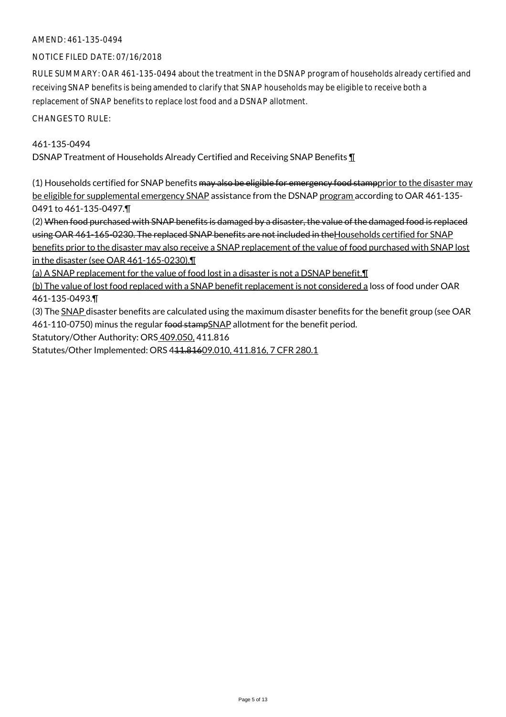# AMEND: 461-135-0494

# NOTICE FILED DATE: 07/16/2018

RULE SUMMARY: OAR 461-135-0494 about the treatment in the DSNAP program of households already certified and receiving SNAP benefits is being amended to clarify that SNAP households may be eligible to receive both a replacement of SNAP benefits to replace lost food and a DSNAP allotment.

CHANGES TO RULE:

#### 461-135-0494

DSNAP Treatment of Households Already Certified and Receiving SNAP Benefits ¶

(1) Households certified for SNAP benefits may also be eligible for emergency food stampprior to the disaster may be eligible for supplemental emergency SNAP assistance from the DSNAP program according to OAR 461-135-0491 to 461-135-0497.¶

(2) When food purchased with SNAP benefits is damaged by a disaster, the value of the damaged food is replaced using OAR 461-165-0230. The replaced SNAP benefits are not included in theHouseholds certified for SNAP benefits prior to the disaster may also receive a SNAP replacement of the value of food purchased with SNAP lost in the disaster (see OAR 461-165-0230).¶

(a) A SNAP replacement for the value of food lost in a disaster is not a DSNAP benefit.¶

(b) The value of lost food replaced with a SNAP benefit replacement is not considered a loss of food under OAR 461-135-0493.¶

(3) The SNAP disaster benefits are calculated using the maximum disaster benefits for the benefit group (see OAR 461-110-0750) minus the regular food stampSNAP allotment for the benefit period.

Statutory/Other Authority: ORS 409.050, 411.816

Statutes/Other Implemented: ORS 411.81609.010, 411.816, 7 CFR 280.1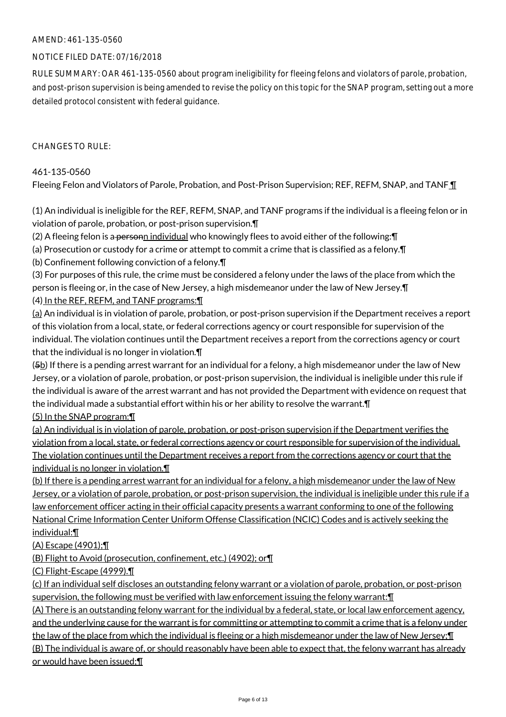# AMEND: 461-135-0560

# NOTICE FILED DATE: 07/16/2018

RULE SUMMARY: OAR 461-135-0560 about program ineligibility for fleeing felons and violators of parole, probation, and post-prison supervision is being amended to revise the policy on this topic for the SNAP program, setting out a more detailed protocol consistent with federal guidance.

#### $CHANGFS TO RIIF$

#### 461-135-0560

Fleeing Felon and Violators of Parole, Probation, and Post-Prison Supervision; REF, REFM, SNAP, and TANF 1

(1) An individual is ineligible for the REF, REFM, SNAP, and TANF programs if the individual is a fleeing felon or in violation of parole, probation, or post-prison supervision.¶

 $(2)$  A fleeing felon is a personn individual who knowingly flees to avoid either of the following:  $\P$ 

(a) Prosecution or custody for a crime or attempt to commit a crime that is classified as a felony.¶

(b) Confinement following conviction of a felony.¶

(3) For purposes of this rule, the crime must be considered a felony under the laws of the place from which the person is fleeing or, in the case of New Jersey, a high misdemeanor under the law of New Jersey.¶ (4) In the REF, REFM, and TANF programs:¶

 $(a)$  An individual is in violation of parole, probation, or post-prison supervision if the Department receives a report of this violation from a local, state, or federal corrections agency or court responsible for supervision of the individual. The violation continues until the Department receives a report from the corrections agency or court that the individual is no longer in violation.¶

 $(5b)$  If there is a pending arrest warrant for an individual for a felony, a high misdemeanor under the law of New Jersey, or a violation of parole, probation, or post-prison supervision, the individual is ineligible under this rule if the individual is aware of the arrest warrant and has not provided the Department with evidence on request that the individual made a substantial effort within his or her ability to resolve the warrant.¶

(5) In the SNAP program:¶

(a) An individual is in violation of parole, probation, or post-prison supervision if the Department verifies the violation from a local, state, or federal corrections agency or court responsible for supervision of the individual. The violation continues until the Department receives a report from the corrections agency or court that the individual is no longer in violation.¶

(b) If there is a pending arrest warrant for an individual for a felony, a high misdemeanor under the law of New Jersey, or a violation of parole, probation, or post-prison supervision, the individual is ineligible under this rule if a law enforcement officer acting in their official capacity presents a warrant conforming to one of the following National Crime Information Center Uniform Offense Classification (NCIC) Codes and is actively seeking the individual:¶

(A) Escape (4901);¶

(B) Flight to Avoid (prosecution, confinement, etc.) (4902); or¶

(C) Flight-Escape (4999).¶

(c) If an individual self discloses an outstanding felony warrant or a violation of parole, probation, or post-prison supervision, the following must be verified with law enforcement issuing the felony warrant:¶

(A) There is an outstanding felony warrant for the individual by a federal, state, or local law enforcement agency, and the underlying cause for the warrant is for committing or attempting to commit a crime that is a felony under the law of the place from which the individual is fleeing or a high misdemeanor under the law of New Jersey;¶

(B) The individual is aware of, or should reasonably have been able to expect that, the felony warrant has already or would have been issued;¶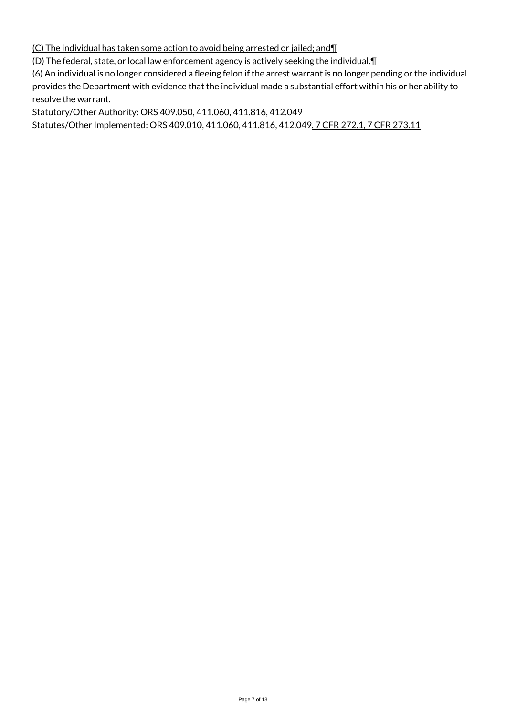(C) The individual has taken some action to avoid being arrested or jailed; and¶

(D) The federal, state, or local law enforcement agency is actively seeking the individual.¶

(6) An individual is no longer considered a fleeing felon if the arrest warrant is no longer pending or the individual provides the Department with evidence that the individual made a substantial effort within his or her ability to resolve the warrant.

Statutory/Other Authority: ORS 409.050, 411.060, 411.816, 412.049

Statutes/Other Implemented: ORS 409.010, 411.060, 411.816, 412.049, 7 CFR 272.1, 7 CFR 273.11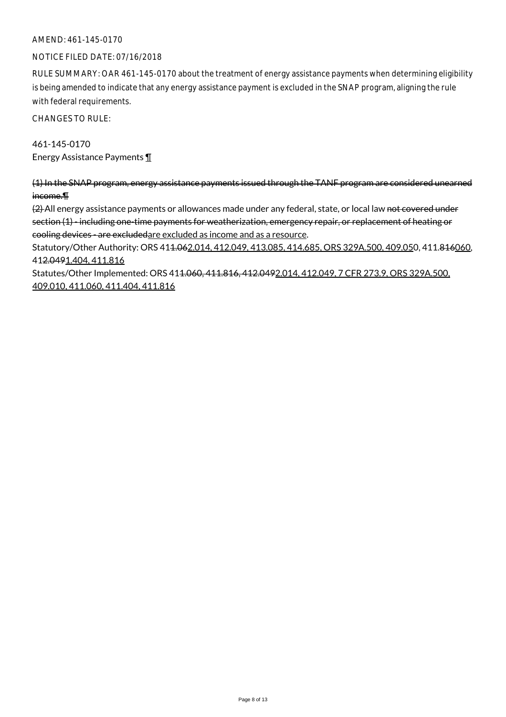# AMEND: 461-145-0170

#### NOTICE FILED DATE: 07/16/2018

RULE SUMMARY: OAR 461-145-0170 about the treatment of energy assistance payments when determining eligibility is being amended to indicate that any energy assistance payment is excluded in the SNAP program, aligning the rule with federal requirements.

CHANGES TO RULE:

461-145-0170 Energy Assistance Payments ¶

(1) In the SNAP program, energy assistance payments issued through the TANF program are considered unearned income.¶

(2) All energy assistance payments or allowances made under any federal, state, or local law not covered under section (1) - including one-time payments for weatherization, emergency repair, or replacement of heating or cooling devices - are excludedare excluded as income and as a resource.

Statutory/Other Authority: ORS 41<del>1.06</del>2.014, 412.049, 413.085, 414.685, ORS 329A.500, 409.050, 411.816060, 412.0491.404, 411.816

Statutes/Other Implemented: ORS 411.060, 411.816, 412.0492.014, 412.049, 7 CFR 273.9, ORS 329A.500, 409.010, 411.060, 411.404, 411.816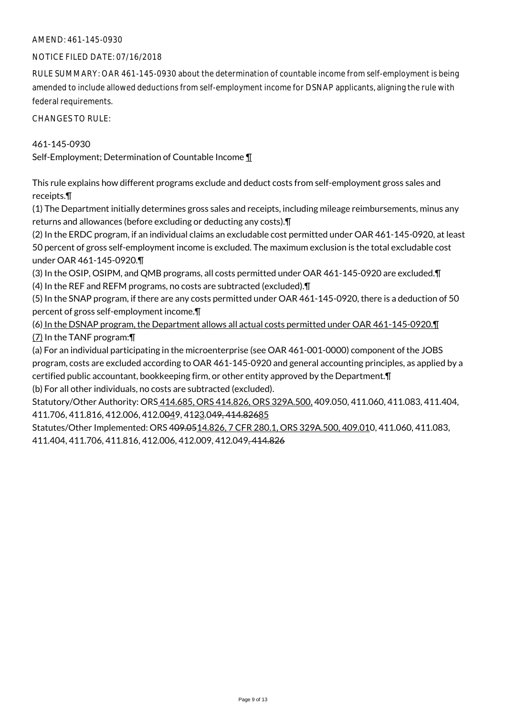# AMEND: 461-145-0930

#### NOTICE FILED DATE: 07/16/2018

RULE SUMMARY: OAR 461-145-0930 about the determination of countable income from self-employment is being amended to include allowed deductions from self-employment income for DSNAP applicants, aligning the rule with federal requirements.

CHANGES TO RULE:

#### 461-145-0930

Self-Employment; Determination of Countable Income ¶

This rule explains how different programs exclude and deduct costs from self-employment gross sales and receipts.¶

(1) The Department initially determines gross sales and receipts, including mileage reimbursements, minus any returns and allowances (before excluding or deducting any costs).¶

(2) In the ERDC program, if an individual claims an excludable cost permitted under OAR 461-145-0920, at least 50 percent of gross self-employment income is excluded. The maximum exclusion is the total excludable cost under OAR 461-145-0920.¶

(3) In the OSIP, OSIPM, and QMB programs, all costs permitted under OAR 461-145-0920 are excluded.¶ (4) In the REF and REFM programs, no costs are subtracted (excluded).¶

(5) In the SNAP program, if there are any costs permitted under OAR 461-145-0920, there is a deduction of 50 percent of gross self-employment income.¶

(6) In the DSNAP program, the Department allows all actual costs permitted under OAR 461-145-0920.¶ (7) In the TANF program:¶

(a) For an individual participating in the microenterprise (see OAR 461-001-0000) component of the JOBS program, costs are excluded according to OAR 461-145-0920 and general accounting principles, as applied by a certified public accountant, bookkeeping firm, or other entity approved by the Department.¶ (b) For all other individuals, no costs are subtracted (excluded).

Statutory/Other Authority: ORS 414.685, ORS 414.826, ORS 329A.500, 409.050, 411.060, 411.083, 411.404, 411.706, 411.816, 412.006, 412.0049, 4123.049, 414.82685

Statutes/Other Implemented: ORS 409.0514.826, 7 CFR 280.1, ORS 329A.500, 409.010, 411.060, 411.083, 411.404, 411.706, 411.816, 412.006, 412.009, 412.049, 414.826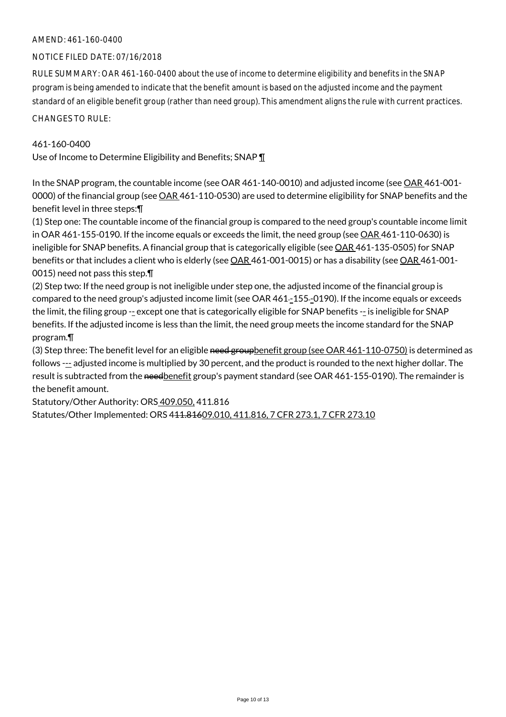# AMEND: 461-160-0400

# NOTICE FILED DATE: 07/16/2018

RULE SUMMARY: OAR 461-160-0400 about the use of income to determine eligibility and benefits in the SNAP program is being amended to indicate that the benefit amount is based on the adjusted income and the payment standard of an eligible benefit group (rather than need group). This amendment aligns the rule with current practices. CHANGES TO RULE:

#### 461-160-0400

Use of Income to Determine Eligibility and Benefits; SNAP 1

In the SNAP program, the countable income (see OAR 461-140-0010) and adjusted income (see OAR 461-001- 0000) of the financial group (see  $\underline{OAR}$  461-110-0530) are used to determine eligibility for SNAP benefits and the benefit level in three steps:¶

(1) Step one: The countable income of the financial group is compared to the need group's countable income limit in OAR 461-155-0190. If the income equals or exceeds the limit, the need group (see OAR 461-110-0630) is ineligible for SNAP benefits. A financial group that is categorically eligible (see OAR 461-135-0505) for SNAP benefits or that includes a client who is elderly (see OAR 461-001-0015) or has a disability (see OAR 461-001-0015) need not pass this step.¶

(2) Step two: If the need group is not ineligible under step one, the adjusted income of the financial group is compared to the need group's adjusted income limit (see OAR 461-155--0190). If the income equals or exceeds the limit, the filing group -- except one that is categorically eligible for SNAP benefits -- is ineligible for SNAP benefits. If the adjusted income is less than the limit, the need group meets the income standard for the SNAP program.¶

(3) Step three: The benefit level for an eligible need groupbenefit group (see OAR 461-110-0750) is determined as follows --- adjusted income is multiplied by 30 percent, and the product is rounded to the next higher dollar. The result is subtracted from the needbenefit group's payment standard (see OAR 461-155-0190). The remainder is the benefit amount.

Statutory/Other Authority: ORS 409.050, 411.816

Statutes/Other Implemented: ORS 411.81609.010, 411.816, 7 CFR 273.1, 7 CFR 273.10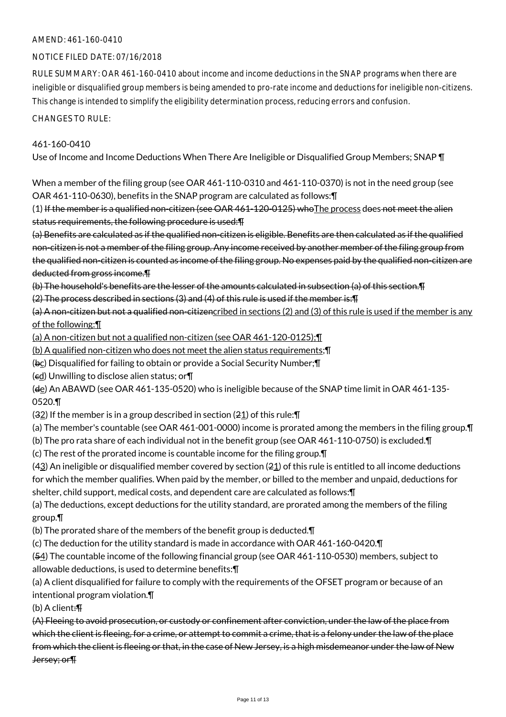# AMEND: 461-160-0410

#### NOTICE FILED DATE: 07/16/2018

RULE SUMMARY: OAR 461-160-0410 about income and income deductions in the SNAP programs when there are ineligible or disqualified group members is being amended to pro-rate income and deductions for ineligible non-citizens. This change is intended to simplify the eligibility determination process, reducing errors and confusion.

#### CHANGES TO RULE:

#### 461-160-0410

Use of Income and Income Deductions When There Are Ineligible or Disqualified Group Members; SNAP ¶

When a member of the filing group (see OAR 461-110-0310 and 461-110-0370) is not in the need group (see OAR 461-110-0630), benefits in the SNAP program are calculated as follows:¶

(1) If the member is a qualified non-citizen (see OAR 461-120-0125) who The process does not meet the alien status requirements, the following procedure is used:¶

(a) Benefits are calculated as if the qualified non-citizen is eligible. Benefits are then calculated as if the qualified non-citizen is not a member of the filing group. Any income received by another member of the filing group from the qualified non-citizen is counted as income of the filing group. No expenses paid by the qualified non-citizen are deducted from gross income.¶

(b) The household's benefits are the lesser of the amounts calculated in subsection (a) of this section.¶

(2) The process described in sections (3) and (4) of this rule is used if the member is:¶

(a) A non-citizen but not a qualified non-citizencribed in sections (2) and (3) of this rule is used if the member is any of the following:¶

(a) A non-citizen but not a qualified non-citizen (see OAR 461-120-0125);¶

(b) A qualified non-citizen who does not meet the alien status requirements;¶

(bc) Disqualified for failing to obtain or provide a Social Security Number;¶

(cd) Unwilling to disclose alien status; or¶

(de) An ABAWD (see OAR 461-135-0520) who is ineligible because of the SNAP time limit in OAR 461-135- 0520.¶

(32) If the member is in a group described in section (21) of this rule:¶

(a) The member's countable (see OAR 461-001-0000) income is prorated among the members in the filing group.¶

(b) The pro rata share of each individual not in the benefit group (see OAR 461-110-0750) is excluded.¶

(c) The rest of the prorated income is countable income for the filing group.¶

(43) An ineligible or disqualified member covered by section (21) of this rule is entitled to all income deductions for which the member qualifies. When paid by the member, or billed to the member and unpaid, deductions for shelter, child support, medical costs, and dependent care are calculated as follows:¶

(a) The deductions, except deductions for the utility standard, are prorated among the members of the filing group.¶

(b) The prorated share of the members of the benefit group is deducted.¶

(c) The deduction for the utility standard is made in accordance with OAR 461-160-0420.¶

(54) The countable income of the following financial group (see OAR 461-110-0530) members, subject to allowable deductions, is used to determine benefits:¶

(a) A client disqualified for failure to comply with the requirements of the OFSET program or because of an intentional program violation.¶

(b) A client:¶

(A) Fleeing to avoid prosecution, or custody or confinement after conviction, under the law of the place from which the client is fleeing, for a crime, or attempt to commit a crime, that is a felony under the law of the place from which the client is fleeing or that, in the case of New Jersey, is a high misdemeanor under the law of New Jersey; or¶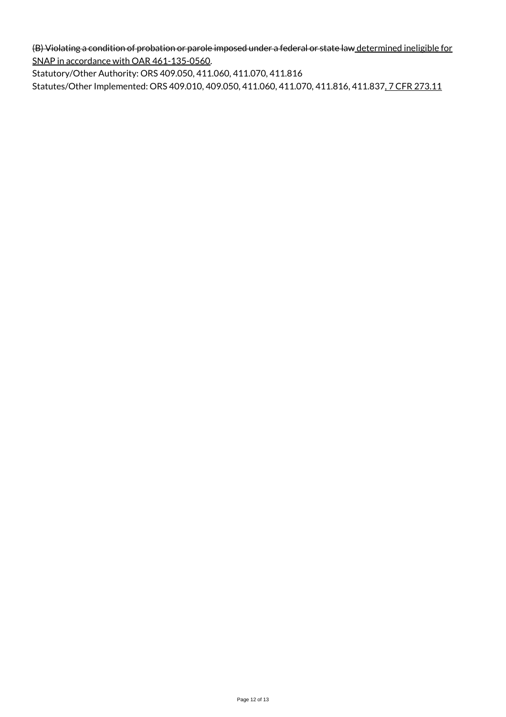(B) Violating a condition of probation or parole imposed under a federal or state law determined ineligible for SNAP in accordance with OAR 461-135-0560.

Statutory/Other Authority: ORS 409.050, 411.060, 411.070, 411.816 Statutes/Other Implemented: ORS 409.010, 409.050, 411.060, 411.070, 411.816, 411.837, 7 CFR 273.11